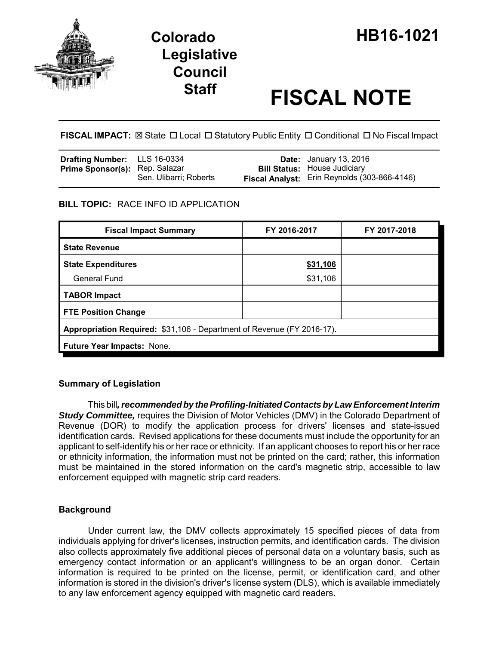

# **Legislative Council**

# **Staff FISCAL NOTE**

FISCAL IMPACT:  $\boxtimes$  State  $\Box$  Local  $\Box$  Statutory Public Entity  $\Box$  Conditional  $\Box$  No Fiscal Impact

| <b>Drafting Number:</b> LLS 16-0334   |                        | <b>Date:</b> January 13, 2016                |
|---------------------------------------|------------------------|----------------------------------------------|
| <b>Prime Sponsor(s): Rep. Salazar</b> |                        | <b>Bill Status:</b> House Judiciary          |
|                                       | Sen. Ulibarri; Roberts | Fiscal Analyst: Erin Reynolds (303-866-4146) |

# **BILL TOPIC:** RACE INFO ID APPLICATION

| <b>Fiscal Impact Summary</b>                                           | FY 2016-2017 | FY 2017-2018 |  |  |  |
|------------------------------------------------------------------------|--------------|--------------|--|--|--|
| <b>State Revenue</b>                                                   |              |              |  |  |  |
| <b>State Expenditures</b>                                              | \$31,106     |              |  |  |  |
| <b>General Fund</b>                                                    | \$31,106     |              |  |  |  |
| <b>TABOR Impact</b>                                                    |              |              |  |  |  |
| <b>FTE Position Change</b>                                             |              |              |  |  |  |
| Appropriation Required: \$31,106 - Department of Revenue (FY 2016-17). |              |              |  |  |  |
| <b>Future Year Impacts: None.</b>                                      |              |              |  |  |  |

# **Summary of Legislation**

This bill*, recommended by the Profiling-Initiated Contacts by Law Enforcement Interim Study Committee,* requires the Division of Motor Vehicles (DMV) in the Colorado Department of Revenue (DOR) to modify the application process for drivers' licenses and state-issued identification cards. Revised applications for these documents must include the opportunity for an applicant to self-identify his or her race or ethnicity. If an applicant chooses to report his or her race or ethnicity information, the information must not be printed on the card; rather, this information must be maintained in the stored information on the card's magnetic strip, accessible to law enforcement equipped with magnetic strip card readers.

# **Background**

Under current law, the DMV collects approximately 15 specified pieces of data from individuals applying for driver's licenses, instruction permits, and identification cards. The division also collects approximately five additional pieces of personal data on a voluntary basis, such as emergency contact information or an applicant's willingness to be an organ donor. Certain information is required to be printed on the license, permit, or identification card, and other information is stored in the division's driver's license system (DLS), which is available immediately to any law enforcement agency equipped with magnetic card readers.